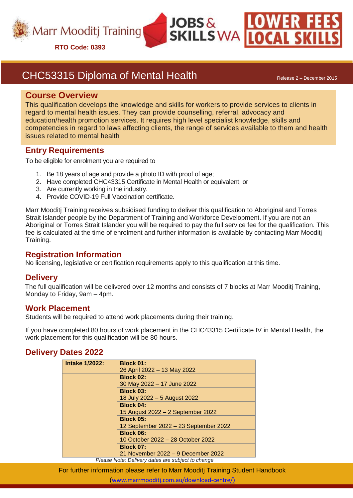

## CHC53315 Diploma of Mental Health Release 2 – December 2015

#### **Course Overview**

This qualification develops the knowledge and skills for workers to provide services to clients in regard to mental health issues. They can provide counselling, referral, advocacy and education/health promotion services. It requires high level specialist knowledge, skills and competencies in regard to laws affecting clients, the range of services available to them and health issues related to mental health

**JOBS** &

**SKILLS WA** 

## **Entry Requirements**

To be eligible for enrolment you are required to

- 1. Be 18 years of age and provide a photo ID with proof of age;
- 2. Have completed CHC43315 Certificate in Mental Health or equivalent; or
- 3. Are currently working in the industry.
- 4. Provide COVID-19 Full Vaccination certificate.

Marr Mooditj Training receives subsidised funding to deliver this qualification to Aboriginal and Torres Strait Islander people by the Department of Training and Workforce Development. If you are not an Aboriginal or Torres Strait Islander you will be required to pay the full service fee for the qualification. This fee is calculated at the time of enrolment and further information is available by contacting Marr Mooditj Training.

## **Registration Information**

No licensing, legislative or certification requirements apply to this qualification at this time.

## **Delivery**

The full qualification will be delivered over 12 months and consists of 7 blocks at Marr Mooditj Training, Monday to Friday, 9am – 4pm.

#### **Work Placement**

Students will be required to attend work placements during their training.

If you have completed 80 hours of work placement in the CHC43315 Certificate IV in Mental Health, the work placement for this qualification will be 80 hours.

## **Delivery Dates 2022**

| <b>Intake 1/2022:</b> | <b>Block 01:</b>                                  |
|-----------------------|---------------------------------------------------|
|                       | 26 April 2022 - 13 May 2022                       |
|                       | <b>Block 02:</b>                                  |
|                       | 30 May 2022 - 17 June 2022                        |
|                       | <b>Block 03:</b>                                  |
|                       | 18 July 2022 - 5 August 2022                      |
|                       | <b>Block 04:</b>                                  |
|                       | 15 August 2022 - 2 September 2022                 |
|                       | <b>Block 05:</b>                                  |
|                       | 12 September 2022 - 23 September 2022             |
|                       | <b>Block 06:</b>                                  |
|                       | 10 October 2022 – 28 October 2022                 |
|                       | <b>Block 07:</b>                                  |
|                       | 21 November 2022 – 9 December 2022                |
|                       | Blogge Nato: Delivery detec are subject to ebenge |

*Please Note: Delivery dates are subject to change*

For further information please refer to Marr Mooditj Training Student Handbook

([www.marrmooditj.com.au/download-centre/](http://www.marrmooditj.com.au/download-centre/)))